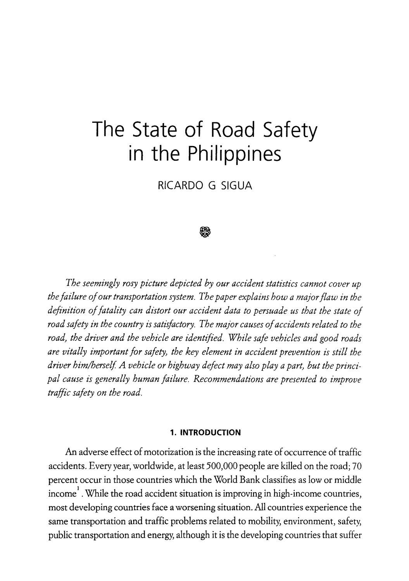# **The State of Road Safety in the Philippines**

RICARDO G SIGUA

#### Ø

*The seemingly rosy picture depicted by our accident statistics cannot cover up the failure of our transportation system. The paper explains how a major flaw in the definition of fatality can distort our accident data to persuade us that the state of road safety in the country is satisfactory. The major causes of accidents related to the road, the driver and the vehicle are identified. While safe vehicles and good roads are vitally important /or safety, the key element in accident prevention is still the*  driver him/herself. A vehicle or highway defect may also play a part, but the princi*pal cause is generally human failure. Recommendations are presented to improve traffic safety on the road.* 

#### **1. INTRODUCTION**

An adverse effect of motorization is the increasing rate of occurrence of traffic accidents. Every year, worldwide, at least 500,000 people are killed on the road; 70 percent occur in those countries which the World Bank classifies as low or middle income<sup>1</sup>. While the road accident situation is improving in high-income countries, most developing countries face a worsening situation. All countries experience the same transportation and traffic problems related to mobility, environment, safety, public transportation and energy, although it is the developing countries that suffer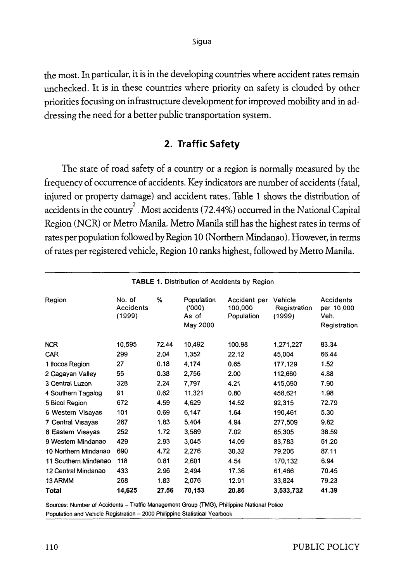Sigua

the most. In particular, it is in the developing countries where accident rates remain unchecked. It is in these countries where priority on safety is clouded by other priorities focusing on infrastructure development for improved mobility and in addressing the need for a better public transportation system.

## **2. Traffic Safety**

The state of road safety of a country or a region is normally measured by the frequency of occurrence of accidents. Key indicators are number of accidents {fatal, injured or property damage) and accident rates. Table 1 shows the distribution of accidents in the country $^{2}$  . Most accidents (72.44%) occurred in the National Capital Region (NCR) or Metro Manila. Metro Manila still has the highest rates in terms of rates per population followed by Region 10 (Northern Mindanao). However, in terms of rates per registered vehicle, Region 10 ranks highest, followed by Metro Manila.

| <b>TABLE 1. Distribution of Accidents by Region</b> |                               |       |                                          |                                       |                                   |                                                 |
|-----------------------------------------------------|-------------------------------|-------|------------------------------------------|---------------------------------------|-----------------------------------|-------------------------------------------------|
| Region                                              | No. of<br>Accidents<br>(1999) | %     | Population<br>(000)<br>As of<br>May 2000 | Accident per<br>100,000<br>Population | Vehicle<br>Registration<br>(1999) | Accidents<br>per 10,000<br>Veh.<br>Registration |
| <b>NCR</b>                                          | 10,595                        | 72.44 | 10,492                                   | 100.98                                | 1,271,227                         | 83.34                                           |
| CAR                                                 | 299                           | 2.04  | 1,352                                    | 22.12                                 | 45,004                            | 66.44                                           |
| 1 Ilocos Region                                     | 27                            | 0.18  | 4,174                                    | 0.65                                  | 177,129                           | 1.52                                            |
| 2 Cagayan Valley                                    | 55                            | 0.38  | 2,756                                    | 2.00                                  | 112,660                           | 4.88                                            |
| 3 Central Luzon                                     | 328                           | 2.24  | 7,797                                    | 4.21                                  | 415,090                           | 7.90                                            |
| 4 Southern Tagalog                                  | 91                            | 0.62  | 11,321                                   | 0.80                                  | 458,621                           | 1.98                                            |
| 5 Bicol Region                                      | 672                           | 4.59  | 4,629                                    | 14.52                                 | 92,315                            | 72.79                                           |
| 6 Western Visayas                                   | 101                           | 0.69  | 6,147                                    | 1.64                                  | 190,461                           | 5.30                                            |
| 7 Central Visayas                                   | 267                           | 1.83  | 5.404                                    | 4.94                                  | 277.509                           | 9.62                                            |
| 8 Eastern Visayas                                   | 252                           | 1.72  | 3,589                                    | 7.02                                  | 65,305                            | 38.59                                           |
| 9 Western Mindanao                                  | 429                           | 2.93  | 3.045                                    | 14.09                                 | 83,783                            | 51.20                                           |
| 10 Northern Mindanao                                | 690                           | 4.72  | 2.276                                    | 30.32                                 | 79,206                            | 87.11                                           |
| 11 Southern Mindanao                                | 118                           | 0.81  | 2,601                                    | 4.54                                  | 170,132                           | 6.94                                            |
| 12 Central Mindanao                                 | 433                           | 2.96  | 2.494                                    | 17.36                                 | 61,466                            | 70.45                                           |
| 13 ARMM                                             | 268                           | 1.83  | 2,076                                    | 12.91                                 | 33,824                            | 79.23                                           |
| Total                                               | 14,625                        | 27.56 | 70,153                                   | 20.85                                 | 3,533,732                         | 41.39                                           |

Sources: Number of Accidents -- Traffic Management Group (TMG), Philippine National Police Population and Vehicle Registration - 2000 Philippine Statistical Yearbook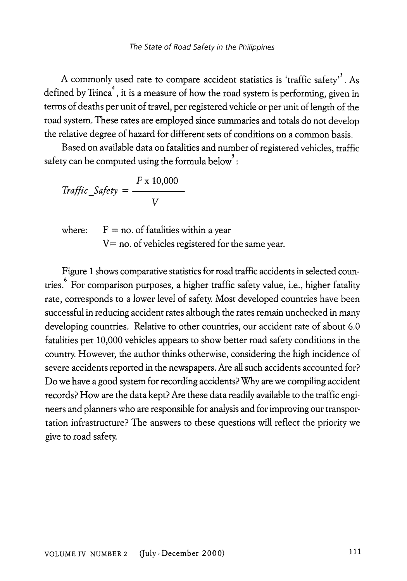A commonly used rate to compare accident statistics is 'traffic safety'<sup>3</sup>. As defined by Trinca<sup>4</sup>, it is a measure of how the road system is performing, given in terms of deaths per unit of travel, per registered vehicle or per unit of length of the road system. These rates are employed since summaries and totals do not develop the relative degree of hazard for different sets of conditions on a common basis.

Based on available data on fatalities and number of registered vehicles, traffic safety can be computed using the formula below<sup>5</sup>:

$$
Traffic\_Safety = \frac{F \times 10,000}{V}
$$

where:  $F = no$  of fatalities within a year  $V = no.$  of vehicles registered for the same year.

Figure 1 shows comparative statistics for road traffic accidents in selected countries.<sup>6</sup> For comparison purposes, a higher traffic safety value, i.e., higher fatality rate, corresponds to a lower level of safety. Most developed countries have been successful in reducing accident rates although the rates remain unchecked in many developing countries. Relative to other countries, our accident rate of about 6.0 fatalities per 10,000 vehicles appears to show better road safety conditions in the country. However, the author thinks otherwise, considering the high incidence of severe accidents reported in the newspapers. Are all such accidents accounted for? Do we have a good system for recording accidents? Why are we compiling accident records? How are the data kept? Are these data readily available to the traffic engineers and planners who are responsible for analysis and for improving our transportation infrastructure? The answers to these questions will reflect the priority we give to road safety.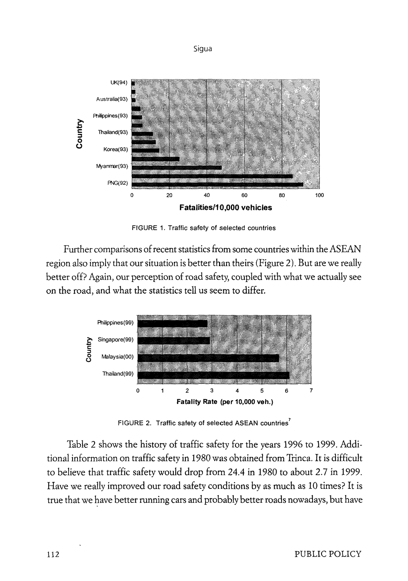Sigua



FIGURE 1. Traffic safety of selected countries

Further comparisons of recent statistics from some countries within the ASEAN region also imply that our situation is better than theirs (Figure 2). But are we really better off? Again, our perception of road safety, coupled with what we actually see on the road, and what the statistics tell us seem to differ.



FIGURE 2. Traffic safety of selected ASEAN countries<sup>7</sup>

Table 2 shows the history of traffic safety for the years 1996 to 1999. Additional information on traffic safety in 1980 was obtained from Trinca. It is difficult to believe that traffic safety would drop from 24.4 in 1980 to about 2.7 in 1999. Have we really improved our road safety conditions by as much as 10 times? It is true that we have better running cars and probably better roads nowadays, but have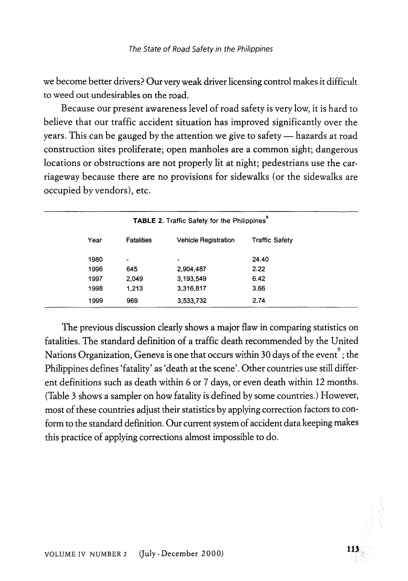we become better drivers? Our very weak driver licensing control makes it difficult to weed out undesirables on the road.

Because our present awareness level of road safety is very low, it is hard to believe that our traffic accident situation has improved significantly over the years. This can be gauged by the attention we give to safety — hazards at road construction sites proliferate; open manholes are a common sight; dangerous locations or obstructions are not properly lit at night; pedestrians use the carriageway because there are no provisions for sidewalks (or the sidewalks are occupied by vendors), etc.

| TABLE 2. Traffic Safety for the Philippines |                   |                             |                       |  |
|---------------------------------------------|-------------------|-----------------------------|-----------------------|--|
| Year                                        | <b>Fatalities</b> | <b>Vehicle Registration</b> | <b>Traffic Safety</b> |  |
| 1980                                        | ٠                 | ٠                           | 24.40                 |  |
| 1996                                        | 645               | 2,904,487                   | 2.22                  |  |
| 1997                                        | 2.049             | 3.193.549                   | 6.42                  |  |
| 1998                                        | 1.213             | 3,316,817                   | 3.66                  |  |
| 1999                                        | 969               | 3,533,732                   | 2.74                  |  |
|                                             |                   |                             |                       |  |

The previous discussion clearly shows a major flaw in comparing statistics on fatalities. The standard definition of a traffic death recommended by the United Nations Organization, Geneva is one that occurs within 30 days of the event  $^{\flat}$  ; the Philippines defines 'fatality' as 'death at the scene'. Other countries use still different definitions such as death within 6 or 7 days, or even death within 12 months. (Table 3 shows a sampler on how fatality is defined by some countries.} However, most of these countries adjust their statistics by applying correction factors to conform to the standard definition. Our current system of accident data keeping makes this practice of applying corrections almost impossible to do.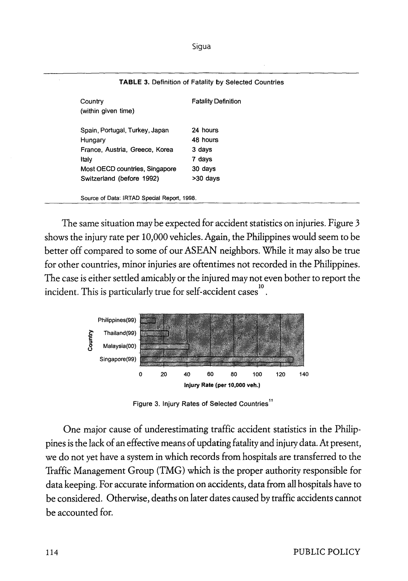| Country<br>(within given time)              | <b>Fatality Definition</b> |
|---------------------------------------------|----------------------------|
| Spain, Portugal, Turkey, Japan              | 24 hours                   |
| Hungary                                     | 48 hours                   |
| France, Austria, Greece, Korea              | 3 days                     |
| Italy                                       | 7 days                     |
| Most OECD countries, Singapore              | 30 days                    |
| Switzerland (before 1992)                   | $>30$ days                 |
| Source of Data: IRTAD Special Report, 1998. |                            |

#### **TABLE** 3. Definition of Fatality by Selected Countries

The same situation may be expected for accident statistics on injuries. Figure 3 shows the injury rate per 10,000 vehicles. Again, the Philippines would seem to be better off compared to some of our ASEAN neighbors. While it may also be true for other countries, minor injuries are oftentimes not recorded in the Philippines. The case is either settled amicably or the injured may not even bother to report the incident. This is particularly true for self-accident cases  $^{^{10}}$ •



Figure 3. Injury Rates of Selected Countries<sup>11</sup>

One major cause of underestimating traffic accident statistics in the Philippines is the lack of an effective means of updating fatality and injury data. At present, we do not yet have a system in which records from hospitals are transferred to the Traffic Management Group (TMG) which is the proper authority responsible for data keeping. For accurate information on accidents, data from all hospitals have to be considered. Otherwise, deaths on later dates caused by traffic accidents cannot be accounted for.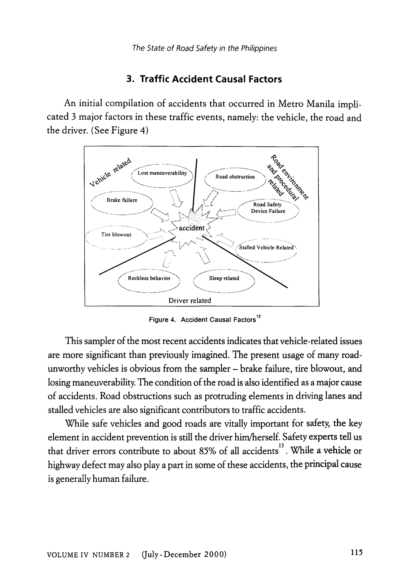## **3. Traffic Accident Causal Factors**

An initial compilation of accidents that occurred in Metro Manila implicated 3 major factors in these traffic events, namely: the vehicle, the road and the driver. (See Figure 4)



Figure 4. Accident Causal Factors<sup>12</sup>

This sampler of the most recent accidents indicates that vehicle-related issues are more significant than previously imagined. The present usage of many roadunworthy vehicles is obvious from the sampler - brake failure, tire blowout, and losing maneuverability. The condition of the road is also identified as a major cause of accidents. Road obstructions such as protruding elements in driving lanes and stalled vehicles are also significant contributors to traffic accidents.

While safe vehicles and good roads are vitally important for safety, the key element in accident prevention is still the driver him/herself. Safety experts tell us that driver errors contribute to about 85% of all accidents<sup>13</sup>. While a vehicle or highway defect may also play a part in some of these accidents, the principal cause is generally human failure.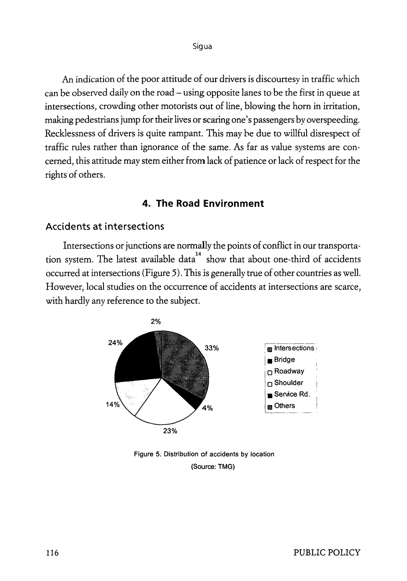An indication of the poor attitude of our drivers is discourtesy in traffic which can be observed daily on the road – using opposite lanes to be the first in queue at intersections, crowding other motorists out of line, blowing the horn in irritation, making pedestrians jump for their lives or scaring one's passengers by overspeeding. Recklessness of drivers is quite rampant. This may he due to willful disrespect of traffic rules rather than ignorance of the same. As far as value systems are concerned, this attitude may stem either from lack of patience or lack of respect for the rights of others.

#### **4. The Road Environment**

#### **Accidents at intersections**

Intersections or junctions are normally the points of conflict in our transportation system. The latest available  $data^{14}$  show that about one-third of accidents occurred at intersections {Figure 5). This is generally true of other countries as well. However, local studies on the occurrence of accidents at intersections are scarce, with hardly any reference to the subject.



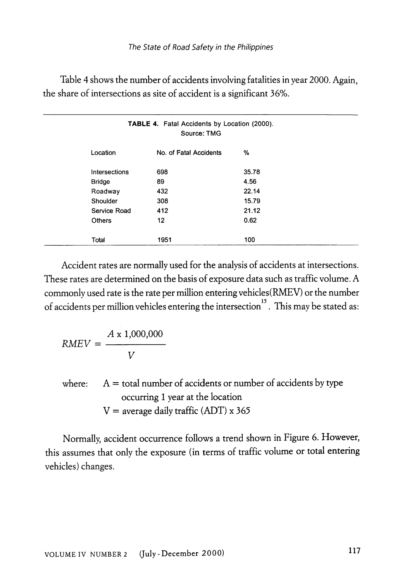| Table 4 shows the number of accidents involving fatalities in year 2000. Again, |
|---------------------------------------------------------------------------------|
| the share of intersections as site of accident is a significant 36%.            |

| <b>TABLE 4. Fatal Accidents by Location (2000).</b><br>Source: TMG |               |                        |       |  |
|--------------------------------------------------------------------|---------------|------------------------|-------|--|
|                                                                    | Location      | No. of Fatal Accidents | %     |  |
|                                                                    | Intersections | 698                    | 35.78 |  |
|                                                                    | <b>Bridge</b> | 89                     | 4.56  |  |
|                                                                    | Roadway       | 432                    | 22.14 |  |
|                                                                    | Shoulder      | 308                    | 15.79 |  |
|                                                                    | Service Road  | 412                    | 21.12 |  |
|                                                                    | <b>Others</b> | 12                     | 0.62  |  |
|                                                                    | Total         | 1951                   | 100   |  |

Accident rates are normally used for the analysis of accidents at intersections. These rates are determined on the basis of exposure data such as traffic volume. A commonly used rate is the rate per million entering vehicles(RMEV) or the number of accidents per million vehicles entering the intersection<sup>15</sup>. This may be stated as:

$$
RMEV = \frac{A \times 1,000,000}{V}
$$

where:  $A =$  total number of accidents or number of accidents by type occurring 1 year at the location  $V =$  average daily traffic (ADT) x 365

Normally, accident occurrence follows a trend shown in Figure 6. However, this assumes that only the exposure (in terms of traffic volume or total entering vehicles) changes.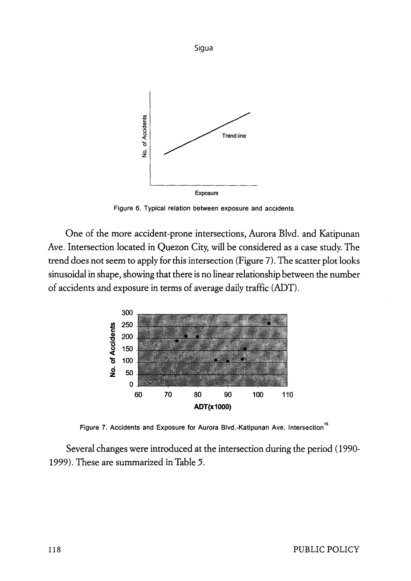

Figure 6. Typical relation between exposure and accidents

One of the more accident-prone intersections, Aurora Blvd. and Katipunan Ave. Intersection located in Quezon City, will be considered as a case study. The trend does not seem to apply for this intersection (Figure 7). The scatter plot looks sinusoidal in shape, showing that there is no linear relationship between the number of accidents and exposure in terms of average daily traffic (ADT).



Figure 7. Accidents and Exposure for Aurora Blvd.-Katipunan Ave. Intersection<sup>16</sup>

Several changes were introduced at the intersection during the period ( 1990- 1999). These are summarized in *Table 5.*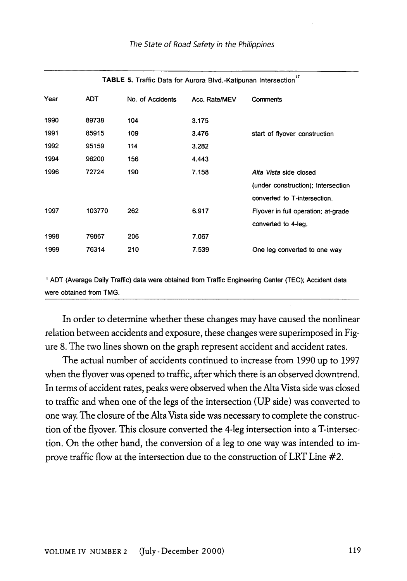| TABLE 5. Traffic Data for Aurora Blvd.-Katipunan Intersection |        |                  |               |                                     |  |
|---------------------------------------------------------------|--------|------------------|---------------|-------------------------------------|--|
| Year                                                          | ADT    | No. of Accidents | Acc. Rate/MEV | <b>Comments</b>                     |  |
| 1990                                                          | 89738  | 104              | 3.175         |                                     |  |
| 1991                                                          | 85915  | 109              | 3.476         | start of flyover construction       |  |
| 1992                                                          | 95159  | 114              | 3.282         |                                     |  |
| 1994                                                          | 96200  | 156              | 4.443         |                                     |  |
| 1996                                                          | 72724  | 190              | 7.158         | Alta Vista side closed              |  |
|                                                               |        |                  |               | (under construction); intersection  |  |
|                                                               |        |                  |               | converted to T-intersection.        |  |
| 1997                                                          | 103770 | 262              | 6.917         | Flyover in full operation; at-grade |  |
|                                                               |        |                  |               | converted to 4-leg.                 |  |
| 1998                                                          | 79867  | 206              | 7.067         |                                     |  |
| 1999                                                          | 76314  | 210              | 7.539         | One leg converted to one way        |  |
|                                                               |        |                  |               |                                     |  |

#### **TABLE** 5. Traffic Data for Aurora Blvd.-Katipunan Intersection <sup>17</sup>

<sup>1</sup>ADT (Average Daily Traffic) data were obtained from Traffic Engineering Center (TEC); Accident data were obtained from TMG.

In order to determine whether these changes may have caused the nonlinear relation between accidents and exposure, these changes were superimposed in Figure 8. The two lines shown on the graph represent accident and accident rates.

The actual number of accidents continued to increase from 1990 up to 1997 when the flyover was opened to traffic, after which there is an observed downtrend. In terms of accident rates, peaks were observed when the Alta Vista side was closed to traffic and when one of the legs of the intersection (UP side) was converted to one way. The closure of the Alta Vista side was necessary to complete the construction of the flyover. This closure converted the 4-leg intersection into a T-intersection. On the other hand, the conversion of a leg to one way was intended to improve traffic flow at the intersection due to the construction of LRT Line #2.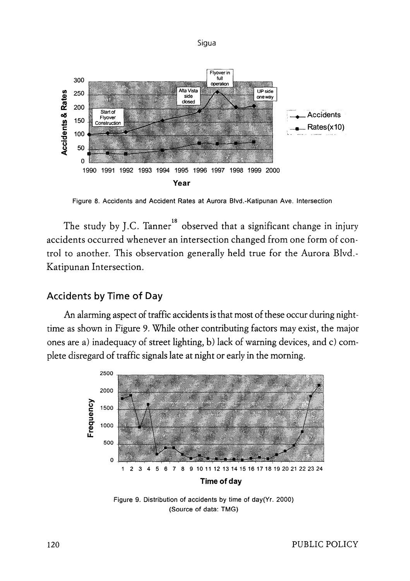Sigua



Figure 8. Accidents and Accident Rates at Aurora Blvd.-Katipunan Ave. Intersection

The study by J.C. Tanner<sup>18</sup> observed that a significant change in injury accidents occurred whenever an intersection changed from one form of control to another. This observation generally held true for the Aurora Blvd.- Katipunan Intersection.

### **Accidents by Time of Day**

An alarming aspect of traffic accidents is that most of these occur during nighttime as shown in Figure 9. While other contributing factors may exist, the major ones are a) inadequacy of street lighting, b) lack of warning devices, and c) complete disregard of traffic signals late at night or early in the morning.



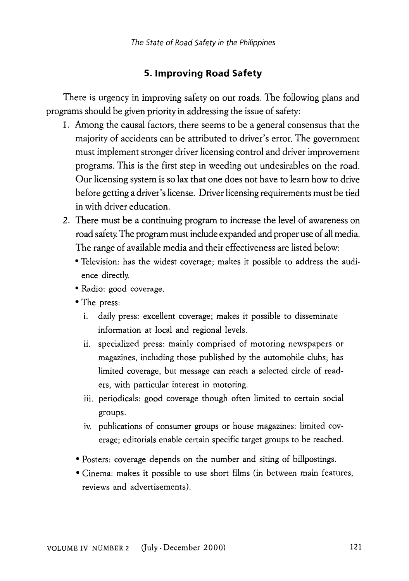## **5. Improving Road Safety**

There is urgency in improving safety on our roads. The following plans and programs should be given priority in addressing the issue of safety:

- 1. Among the causal factors, there seems to be a general consensus that the majority of accidents can be attributed to driver's error. The government must implement stronger driver licensing control and driver improvement programs. This is the first step in weeding out undesirables on the road. Our licensing system is so lax that one does not have to learn how to drive before getting a driver's license. Driver licensing requirements must be tied in with driver education.
- 2. There must be a continuing program to increase the level of awareness on road safety. The program must include expanded and proper use of all media. The range of available media and their effectiveness are listed below:
	- Television: has the widest coverage; makes it possible to address the audience directly.
	- Radio: good coverage.
	- The press:
		- i. daily press: excellent coverage; makes it possible to disseminate information at local and regional levels.
		- ii. specialized press: mainly comprised of motoring newspapers or magazines, including those published by the automobile clubs; has limited coverage, but message can reach a selected circle of readers, with particular interest in motoring.
		- iii. periodicals: good coverage though often limited to certain social groups.
		- iv. publications of consumer groups or house magazines: limited coverage; editorials enable certain specific target groups to be reached.
	- Posters: coverage depends on the number and siting of billpostings.
	- Cinema: makes it possible to use short films (in between main features, reviews and advertisements).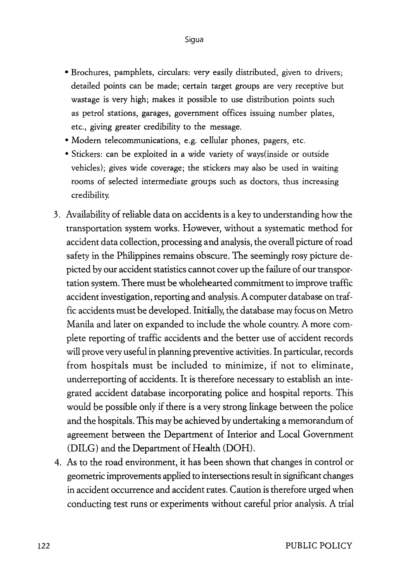- Brochures, pamphlets, circulars: very easily distributed, given to drivers; detailed points can be made; certain target groups are very receptive but wastage is very high; makes it possible to use distribution points such as petrol stations, garages, government offices issuing number plates, etc., giving greater credibility to the message.
- Modern telecommunications, e.g. cellular phones, pagers, etc.
- Stickers: can be exploited in a wide variety of ways(inside or outside vehicles); gives wide coverage; the stickers may also be used in waiting rooms of selected intermediate groups such as doctors, thus increasing credibility.
- 3. Availability of reliable data on accidents is a key to understanding how the transportation system works. However, without a systematic method for accident data collection, processing and analysis, the overall picture of road safety in the Philippines remains obscure. The seemingly rosy picture depicted by our accident statistics cannot cover up the failure of our transportation system. There must be wholehearted commitment to improve traffic accident investigation, reporting and analysis. A computer database on traffic accidents must be developed. Initially, the database may focus on Metro Manila and later on expanded to include the whole country. A more complete reporting of traffic accidents and the better use of accident records will prove very useful in planning preventive activities. In particular, records from hospitals must be included to minimize, if not to eliminate, underreporting of accidents. It is therefore necessary to establish an integrated accident database incorporating police and hospital reports. This would be possible only if there is a very strong linkage between the police and the hospitals. This may be achieved by undertaking a memorandum of agreement between the Department of Interior and Local Government (DILG) and the Department of Health (DOH).
- 4. As to the road environment, it has been shown that changes in control or geometric improvements applied to intersections result in significant changes in accident occurrence and accident rates. Caution is therefore urged when conducting test runs or experiments without careful prior analysis. A trial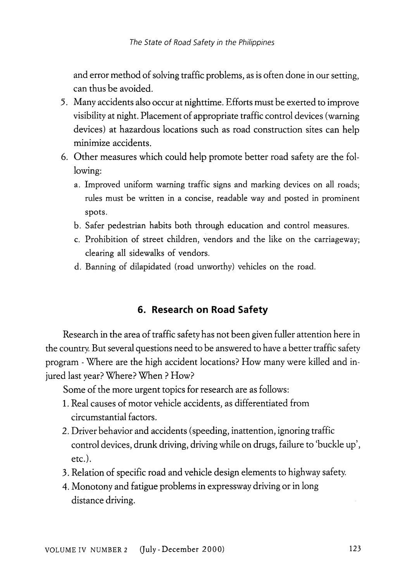and error method of solving traffic problems, as is often done in our setting, can thus be avoided.

- 5. Many accidents also occur at nighttime. Efforts must be exerted to improve visibility at night. Placement of appropriate traffic control devices (warning devices) at hazardous locations such as road construction sites can help minimize accidents.
- 6. Other measures which could help promote better road safety are the following:
	- a. Improved uniform warning traffic signs and marking devices on all roads; rules must be written in a concise, readable way and posted in prominent spots.
	- b. Safer pedestrian habits both through education and control measures.
	- c. Prohibition of street children, vendors and the like on the carriageway; clearing all sidewalks of vendors.
	- d. Banning of dilapidated (road unworthy) vehicles on the road.

### **6. Research on Road Safety**

Research in the area of traffic safety has not been given fuller attention here in the country. But several questions need to be answered to have a better traffic safety program - Where are the high accident locations? How many were killed and injured last year? Where? When ? How?

Some of the more urgent topics for research are as follows:

- 1. Real causes of motor vehicle accidents, as differentiated from circumstantial factors.
- 2. Driver behavior and accidents (speeding, inattention, ignoring traffic control devices, drunk driving, driving while on drugs, failure to 'buckle up', etc.).
- 3. Relation of specific road and vehicle design elements to highway safety.
- 4. Monotony and fatigue problems in expressway driving or in long distance driving.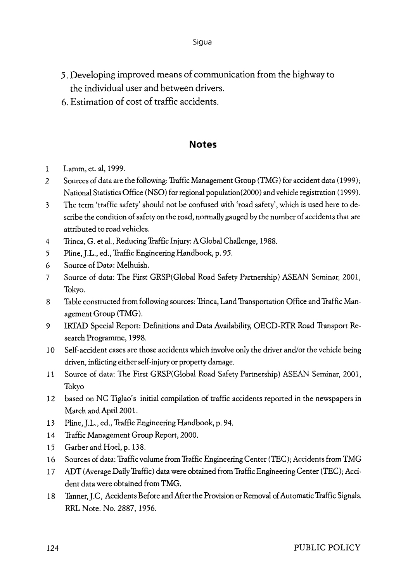- 5. Developing improved means of communication from the highway to the individual user and between drivers.
- 6. Estimation of cost of traffic accidents.

#### **Notes**

- 1 Lamm, et. al, 1999.
- *2* Sources of data are the following: Traffic Management Group (TMG) for accident data (1999); National Statistics Office (NSO) for regional population(2000) and vehicle registration ( 1999 ).
- 3 The term 'traffic safety' should not be confused with 'road safety', which is used here to describe the condition of safety on the road, normally gauged by the number of accidents that are attributed to road vehicles.
- 4 Trinca, G. et al., Reducing Traffic Injury: A Global Challenge, 1988.
- 5 Pline, J.L., ed., Traffic Engineering Handbook, p. 95.
- 6 Source of Data: Melhuish.
- 7 Source of data: The First GRSP(Global Road Safety Partnership) ASEAN Seminar, 2001, Tokyo.
- 8 Table constructed from following sources: Trinca, Land Transportation Office and Traffic Management Group (TMG).
- 9 IRTAD Special Report: Definitions and Data Availability, OECD-RTR Road Transport Research Programme, 1998.
- 10 Self-accident cases are those accidents which involve only the driver and/or the vehicle being driven, inflicting either self-injury or property damage.
- 11 Source of data: The First GRSP(Global Road Safety Partnership) ASEAN Seminar, 2001, Tokyo
- 12 based on NC Tiglao's initial compilation of traffic accidents reported in the newspapers in March and April 2001.
- 13 Pline, J.L., ed., Traffic Engineering Handbook, p. 94.
- 14 Traffic Management Group Report, 2000.
- 15 Garber and Hoel, p. 138.
- 16 Sources of data: Traffic volume from Traffic Engineering Center (TEC); Accidents from TMG
- 17 ADT (Average Daily Traffic) data were obtained from Traffic Engineering Center (TEC); Accident data were obtained from TMG.
- 18 Tanner, J.C, Accidents Before and After the Provision or Removal of Automatic Traffic Signals. RRL Note. No. 2887, 1956.